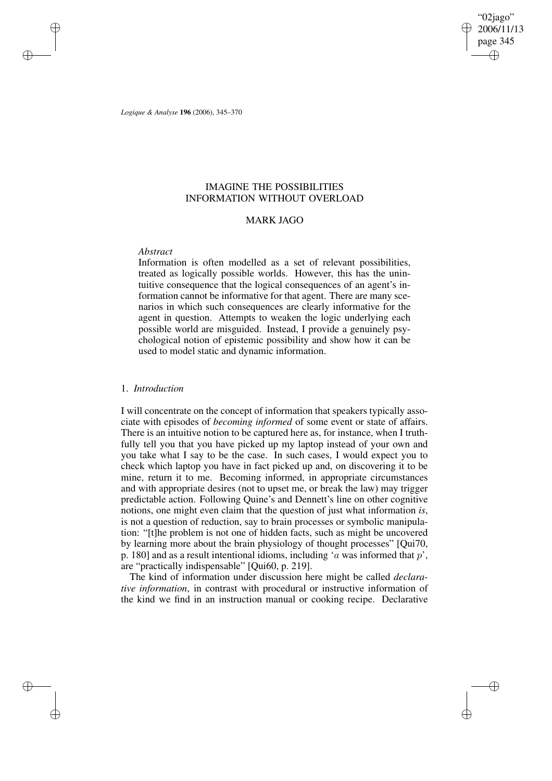"02jago" 2006/11/13 page 345 ✐ ✐

✐

✐

*Logique & Analyse* **196** (2006), 345–370

✐

✐

✐

✐

# IMAGINE THE POSSIBILITIES INFORMATION WITHOUT OVERLOAD

### MARK JAGO

### *Abstract*

Information is often modelled as a set of relevant possibilities, treated as logically possible worlds. However, this has the unintuitive consequence that the logical consequences of an agent's information cannot be informative for that agent. There are many scenarios in which such consequences are clearly informative for the agent in question. Attempts to weaken the logic underlying each possible world are misguided. Instead, I provide a genuinely psychological notion of epistemic possibility and show how it can be used to model static and dynamic information.

## 1. *Introduction*

I will concentrate on the concept of information that speakers typically associate with episodes of *becoming informed* of some event or state of affairs. There is an intuitive notion to be captured here as, for instance, when I truthfully tell you that you have picked up my laptop instead of your own and you take what I say to be the case. In such cases, I would expect you to check which laptop you have in fact picked up and, on discovering it to be mine, return it to me. Becoming informed, in appropriate circumstances and with appropriate desires (not to upset me, or break the law) may trigger predictable action. Following Quine's and Dennett's line on other cognitive notions, one might even claim that the question of just what information *is*, is not a question of reduction, say to brain processes or symbolic manipulation: "[t]he problem is not one of hidden facts, such as might be uncovered by learning more about the brain physiology of thought processes" [Qui70, p. 180] and as a result intentional idioms, including 'a was informed that  $p$ ', are "practically indispensable" [Qui60, p. 219].

The kind of information under discussion here might be called *declarative information*, in contrast with procedural or instructive information of the kind we find in an instruction manual or cooking recipe. Declarative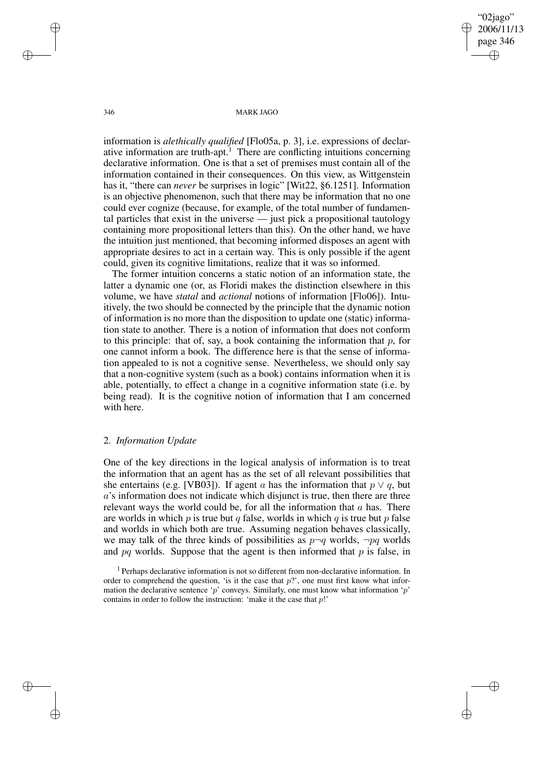"02jago" 2006/11/13 page 346 ✐ ✐

✐

✐

346 MARK JAGO

information is *alethically qualified* [Flo05a, p. 3], i.e. expressions of declarative information are truth-apt.<sup>1</sup> There are conflicting intuitions concerning declarative information. One is that a set of premises must contain all of the information contained in their consequences. On this view, as Wittgenstein has it, "there can *never* be surprises in logic" [Wit22, §6.1251]. Information is an objective phenomenon, such that there may be information that no one could ever cognize (because, for example, of the total number of fundamental particles that exist in the universe — just pick a propositional tautology containing more propositional letters than this). On the other hand, we have the intuition just mentioned, that becoming informed disposes an agent with appropriate desires to act in a certain way. This is only possible if the agent could, given its cognitive limitations, realize that it was so informed.

The former intuition concerns a static notion of an information state, the latter a dynamic one (or, as Floridi makes the distinction elsewhere in this volume, we have *statal* and *actional* notions of information [Flo06]). Intuitively, the two should be connected by the principle that the dynamic notion of information is no more than the disposition to update one (static) information state to another. There is a notion of information that does not conform to this principle: that of, say, a book containing the information that  $p$ , for one cannot inform a book. The difference here is that the sense of information appealed to is not a cognitive sense. Nevertheless, we should only say that a non-cognitive system (such as a book) contains information when it is able, potentially, to effect a change in a cognitive information state (i.e. by being read). It is the cognitive notion of information that I am concerned with here.

# 2. *Information Update*

One of the key directions in the logical analysis of information is to treat the information that an agent has as the set of all relevant possibilities that she entertains (e.g. [VB03]). If agent a has the information that  $p \vee q$ , but a's information does not indicate which disjunct is true, then there are three relevant ways the world could be, for all the information that  $a$  has. There are worlds in which  $p$  is true but  $q$  false, worlds in which  $q$  is true but  $p$  false and worlds in which both are true. Assuming negation behaves classically, we may talk of the three kinds of possibilities as  $p \neg q$  worlds,  $\neg pq$  worlds and  $pq$  worlds. Suppose that the agent is then informed that  $p$  is false, in

<sup>1</sup> Perhaps declarative information is not so different from non-declarative information. In order to comprehend the question, 'is it the case that  $p$ ?', one must first know what information the declarative sentence 'p' conveys. Similarly, one must know what information 'p' contains in order to follow the instruction: 'make it the case that  $p$ !'

✐

✐

✐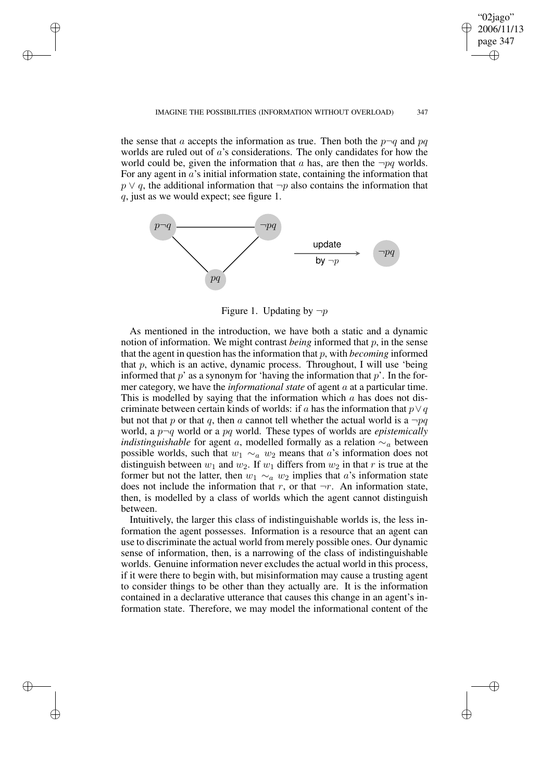### IMAGINE THE POSSIBILITIES (INFORMATION WITHOUT OVERLOAD) 347

"02jago" 2006/11/13 page 347

✐

✐

✐

✐

the sense that a accepts the information as true. Then both the  $p\neg q$  and pq worlds are ruled out of a's considerations. The only candidates for how the world could be, given the information that a has, are then the  $\neg pq$  worlds. For any agent in  $a$ 's initial information state, containing the information that  $p \vee q$ , the additional information that  $\neg p$  also contains the information that q, just as we would expect; see figure 1.

✐

✐

✐

✐



Figure 1. Updating by  $\neg p$ 

As mentioned in the introduction, we have both a static and a dynamic notion of information. We might contrast *being* informed that p, in the sense that the agent in question has the information that  $p$ , with *becoming* informed that  $p$ , which is an active, dynamic process. Throughout, I will use 'being informed that  $p'$  as a synonym for 'having the information that  $p'$ . In the former category, we have the *informational state* of agent a at a particular time. This is modelled by saying that the information which a has does not discriminate between certain kinds of worlds: if a has the information that  $p \lor q$ but not that p or that q, then a cannot tell whether the actual world is a  $\neg pq$ world, a p¬q world or a pq world. These types of worlds are *epistemically indistinguishable* for agent a, modelled formally as a relation  $\sim_a$  between possible worlds, such that  $w_1 \sim_a w_2$  means that a's information does not distinguish between  $w_1$  and  $w_2$ . If  $w_1$  differs from  $w_2$  in that r is true at the former but not the latter, then  $w_1 \sim_a w_2$  implies that a's information state does not include the information that r, or that  $\neg r$ . An information state, then, is modelled by a class of worlds which the agent cannot distinguish between.

Intuitively, the larger this class of indistinguishable worlds is, the less information the agent possesses. Information is a resource that an agent can use to discriminate the actual world from merely possible ones. Our dynamic sense of information, then, is a narrowing of the class of indistinguishable worlds. Genuine information never excludes the actual world in this process, if it were there to begin with, but misinformation may cause a trusting agent to consider things to be other than they actually are. It is the information contained in a declarative utterance that causes this change in an agent's information state. Therefore, we may model the informational content of the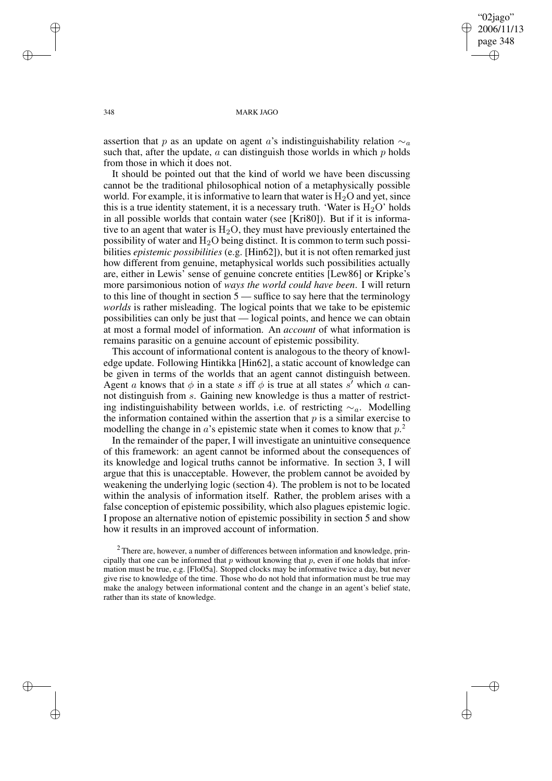"02jago" 2006/11/13 page 348 ✐ ✐

✐

✐

### 348 MARK JAGO

assertion that p as an update on agent a's indistinguishability relation  $\sim_a$ such that, after the update,  $a$  can distinguish those worlds in which  $p$  holds from those in which it does not.

It should be pointed out that the kind of world we have been discussing cannot be the traditional philosophical notion of a metaphysically possible world. For example, it is informative to learn that water is  $H_2O$  and yet, since this is a true identity statement, it is a necessary truth. 'Water is  $H_2O$ ' holds in all possible worlds that contain water (see [Kri80]). But if it is informative to an agent that water is  $H_2O$ , they must have previously entertained the possibility of water and  $H_2O$  being distinct. It is common to term such possibilities *epistemic possibilities* (e.g. [Hin62]), but it is not often remarked just how different from genuine, metaphysical worlds such possibilities actually are, either in Lewis' sense of genuine concrete entities [Lew86] or Kripke's more parsimonious notion of *ways the world could have been*. I will return to this line of thought in section 5 — suffice to say here that the terminology *worlds* is rather misleading. The logical points that we take to be epistemic possibilities can only be just that — logical points, and hence we can obtain at most a formal model of information. An *account* of what information is remains parasitic on a genuine account of epistemic possibility.

This account of informational content is analogous to the theory of knowledge update. Following Hintikka [Hin62], a static account of knowledge can be given in terms of the worlds that an agent cannot distinguish between. Agent a knows that  $\phi$  in a state s iff  $\phi$  is true at all states s<sup>'</sup> which a cannot distinguish from s. Gaining new knowledge is thus a matter of restricting indistinguishability between worlds, i.e. of restricting  $\sim_a$ . Modelling the information contained within the assertion that  $p$  is a similar exercise to modelling the change in  $a$ 's epistemic state when it comes to know that  $p^2$ .

In the remainder of the paper, I will investigate an unintuitive consequence of this framework: an agent cannot be informed about the consequences of its knowledge and logical truths cannot be informative. In section 3, I will argue that this is unacceptable. However, the problem cannot be avoided by weakening the underlying logic (section 4). The problem is not to be located within the analysis of information itself. Rather, the problem arises with a false conception of epistemic possibility, which also plagues epistemic logic. I propose an alternative notion of epistemic possibility in section 5 and show how it results in an improved account of information.

 $2$  There are, however, a number of differences between information and knowledge, principally that one can be informed that  $p$  without knowing that  $p$ , even if one holds that information must be true, e.g. [Flo05a]. Stopped clocks may be informative twice a day, but never give rise to knowledge of the time. Those who do not hold that information must be true may make the analogy between informational content and the change in an agent's belief state, rather than its state of knowledge.

✐

✐

✐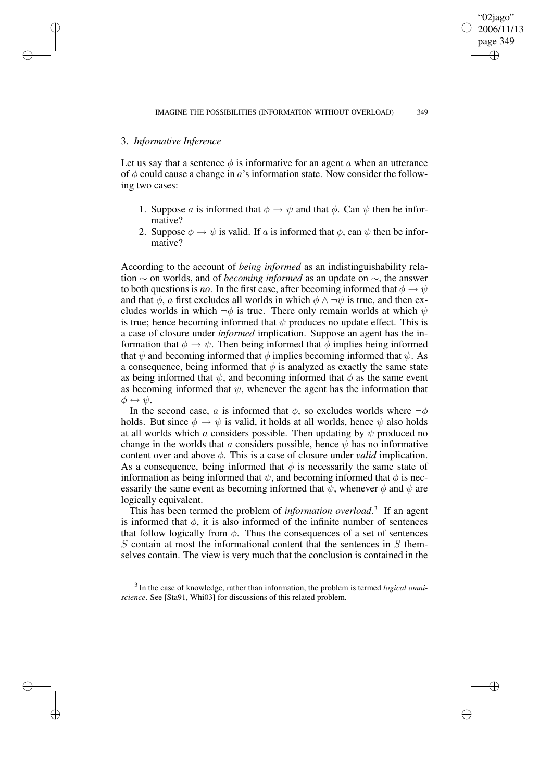## 3. *Informative Inference*

✐

✐

✐

✐

Let us say that a sentence  $\phi$  is informative for an agent a when an utterance of  $\phi$  could cause a change in a's information state. Now consider the following two cases:

- 1. Suppose a is informed that  $\phi \to \psi$  and that  $\phi$ . Can  $\psi$  then be informative?
- 2. Suppose  $\phi \rightarrow \psi$  is valid. If a is informed that  $\phi$ , can  $\psi$  then be informative?

According to the account of *being informed* as an indistinguishability relation ∼ on worlds, and of *becoming informed* as an update on ∼, the answer to both questions is *no*. In the first case, after becoming informed that  $\phi \rightarrow \psi$ and that  $\phi$ , a first excludes all worlds in which  $\phi \wedge \neg \psi$  is true, and then excludes worlds in which  $\neg \phi$  is true. There only remain worlds at which  $\psi$ is true; hence becoming informed that  $\psi$  produces no update effect. This is a case of closure under *informed* implication. Suppose an agent has the information that  $\phi \to \psi$ . Then being informed that  $\phi$  implies being informed that  $\psi$  and becoming informed that  $\phi$  implies becoming informed that  $\psi$ . As a consequence, being informed that  $\phi$  is analyzed as exactly the same state as being informed that  $\psi$ , and becoming informed that  $\phi$  as the same event as becoming informed that  $\psi$ , whenever the agent has the information that  $\phi \leftrightarrow \psi$ .

In the second case, a is informed that  $\phi$ , so excludes worlds where  $\neg \phi$ holds. But since  $\phi \rightarrow \psi$  is valid, it holds at all worlds, hence  $\psi$  also holds at all worlds which a considers possible. Then updating by  $\psi$  produced no change in the worlds that a considers possible, hence  $\psi$  has no informative content over and above  $\phi$ . This is a case of closure under *valid* implication. As a consequence, being informed that  $\phi$  is necessarily the same state of information as being informed that  $\psi$ , and becoming informed that  $\phi$  is necessarily the same event as becoming informed that  $\psi$ , whenever  $\phi$  and  $\psi$  are logically equivalent.

This has been termed the problem of *information overload*. 3 If an agent is informed that  $\phi$ , it is also informed of the infinite number of sentences that follow logically from  $\phi$ . Thus the consequences of a set of sentences  $S$  contain at most the informational content that the sentences in  $S$  themselves contain. The view is very much that the conclusion is contained in the

3 In the case of knowledge, rather than information, the problem is termed *logical omniscience*. See [Sta91, Whi03] for discussions of this related problem.

page 349 ✐

✐

"02jago" 2006/11/13

✐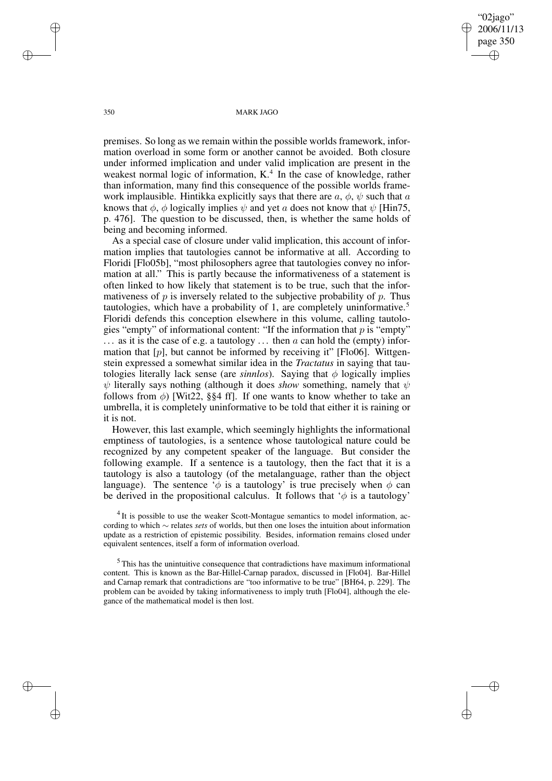"02jago" 2006/11/13 page 350 ✐ ✐

✐

✐

### 350 MARK JAGO

premises. So long as we remain within the possible worlds framework, information overload in some form or another cannot be avoided. Both closure under informed implication and under valid implication are present in the weakest normal logic of information, K.<sup>4</sup> In the case of knowledge, rather than information, many find this consequence of the possible worlds framework implausible. Hintikka explicitly says that there are  $a, \phi, \psi$  such that a knows that  $\phi$ ,  $\phi$  logically implies  $\psi$  and yet a does not know that  $\psi$  [Hin75, p. 476]. The question to be discussed, then, is whether the same holds of being and becoming informed.

As a special case of closure under valid implication, this account of information implies that tautologies cannot be informative at all. According to Floridi [Flo05b], "most philosophers agree that tautologies convey no information at all." This is partly because the informativeness of a statement is often linked to how likely that statement is to be true, such that the informativeness of  $p$  is inversely related to the subjective probability of  $p$ . Thus tautologies, which have a probability of 1, are completely uninformative.<sup>5</sup> Floridi defends this conception elsewhere in this volume, calling tautologies "empty" of informational content: "If the information that  $p$  is "empty"  $\ldots$  as it is the case of e.g. a tautology  $\ldots$  then a can hold the (empty) information that  $[p]$ , but cannot be informed by receiving it" [Flo06]. Wittgenstein expressed a somewhat similar idea in the *Tractatus* in saying that tautologies literally lack sense (are *sinnlos*). Saying that  $\phi$  logically implies  $\psi$  literally says nothing (although it does *show* something, namely that  $\psi$ follows from  $\phi$ ) [Wit22, §§4 ff]. If one wants to know whether to take an umbrella, it is completely uninformative to be told that either it is raining or it is not.

However, this last example, which seemingly highlights the informational emptiness of tautologies, is a sentence whose tautological nature could be recognized by any competent speaker of the language. But consider the following example. If a sentence is a tautology, then the fact that it is a tautology is also a tautology (of the metalanguage, rather than the object language). The sentence ' $\phi$  is a tautology' is true precisely when  $\phi$  can be derived in the propositional calculus. It follows that  $\phi$  is a tautology'

<sup>4</sup> It is possible to use the weaker Scott-Montague semantics to model information, according to which ∼ relates *sets* of worlds, but then one loses the intuition about information update as a restriction of epistemic possibility. Besides, information remains closed under equivalent sentences, itself a form of information overload.

<sup>5</sup> This has the unintuitive consequence that contradictions have maximum informational content. This is known as the Bar-Hillel-Carnap paradox, discussed in [Flo04]. Bar-Hillel and Carnap remark that contradictions are "too informative to be true" [BH64, p. 229]. The problem can be avoided by taking informativeness to imply truth [Flo04], although the elegance of the mathematical model is then lost.

✐

✐

✐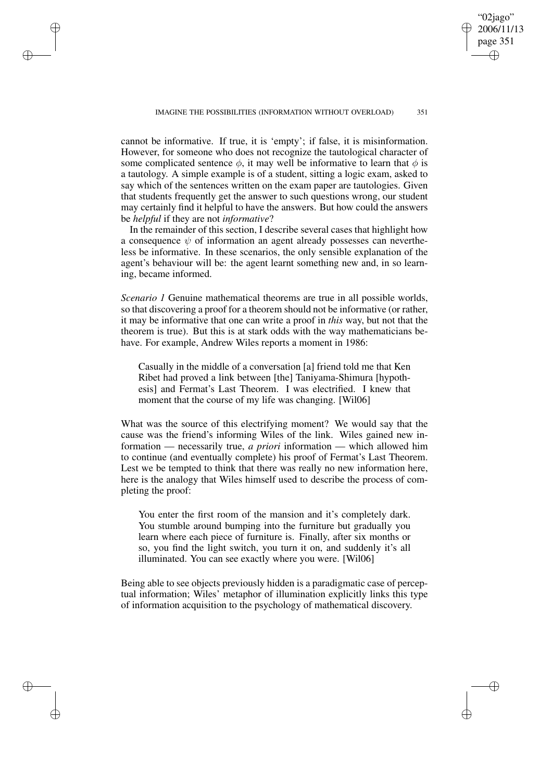"02jago" 2006/11/13 page 351

✐

✐

✐

✐

cannot be informative. If true, it is 'empty'; if false, it is misinformation. However, for someone who does not recognize the tautological character of some complicated sentence  $\phi$ , it may well be informative to learn that  $\phi$  is a tautology. A simple example is of a student, sitting a logic exam, asked to say which of the sentences written on the exam paper are tautologies. Given that students frequently get the answer to such questions wrong, our student may certainly find it helpful to have the answers. But how could the answers be *helpful* if they are not *informative*?

✐

✐

✐

✐

In the remainder of this section, I describe several cases that highlight how a consequence  $\psi$  of information an agent already possesses can nevertheless be informative. In these scenarios, the only sensible explanation of the agent's behaviour will be: the agent learnt something new and, in so learning, became informed.

*Scenario 1* Genuine mathematical theorems are true in all possible worlds, so that discovering a proof for a theorem should not be informative (or rather, it may be informative that one can write a proof in *this* way, but not that the theorem is true). But this is at stark odds with the way mathematicians behave. For example, Andrew Wiles reports a moment in 1986:

Casually in the middle of a conversation [a] friend told me that Ken Ribet had proved a link between [the] Taniyama-Shimura [hypothesis] and Fermat's Last Theorem. I was electrified. I knew that moment that the course of my life was changing. [Wil06]

What was the source of this electrifying moment? We would say that the cause was the friend's informing Wiles of the link. Wiles gained new information — necessarily true, *a priori* information — which allowed him to continue (and eventually complete) his proof of Fermat's Last Theorem. Lest we be tempted to think that there was really no new information here, here is the analogy that Wiles himself used to describe the process of completing the proof:

You enter the first room of the mansion and it's completely dark. You stumble around bumping into the furniture but gradually you learn where each piece of furniture is. Finally, after six months or so, you find the light switch, you turn it on, and suddenly it's all illuminated. You can see exactly where you were. [Wil06]

Being able to see objects previously hidden is a paradigmatic case of perceptual information; Wiles' metaphor of illumination explicitly links this type of information acquisition to the psychology of mathematical discovery.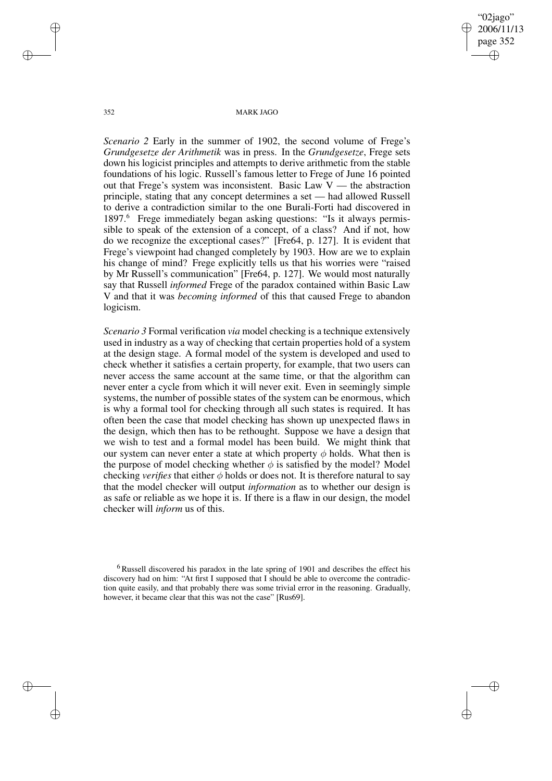"02jago" 2006/11/13 page 352 ✐ ✐

✐

✐

352 MARK JAGO

*Scenario* 2 Early in the summer of 1902, the second volume of Frege's *Grundgesetze der Arithmetik* was in press. In the *Grundgesetze*, Frege sets down his logicist principles and attempts to derive arithmetic from the stable foundations of his logic. Russell's famous letter to Frege of June 16 pointed out that Frege's system was inconsistent. Basic Law  $V$  — the abstraction principle, stating that any concept determines a set — had allowed Russell to derive a contradiction similar to the one Burali-Forti had discovered in 1897.<sup>6</sup> Frege immediately began asking questions: "Is it always permissible to speak of the extension of a concept, of a class? And if not, how do we recognize the exceptional cases?" [Fre64, p. 127]. It is evident that Frege's viewpoint had changed completely by 1903. How are we to explain his change of mind? Frege explicitly tells us that his worries were "raised by Mr Russell's communication" [Fre64, p. 127]. We would most naturally say that Russell *informed* Frege of the paradox contained within Basic Law V and that it was *becoming informed* of this that caused Frege to abandon logicism.

*Scenario 3* Formal verification *via* model checking is a technique extensively used in industry as a way of checking that certain properties hold of a system at the design stage. A formal model of the system is developed and used to check whether it satisfies a certain property, for example, that two users can never access the same account at the same time, or that the algorithm can never enter a cycle from which it will never exit. Even in seemingly simple systems, the number of possible states of the system can be enormous, which is why a formal tool for checking through all such states is required. It has often been the case that model checking has shown up unexpected flaws in the design, which then has to be rethought. Suppose we have a design that we wish to test and a formal model has been build. We might think that our system can never enter a state at which property  $\phi$  holds. What then is the purpose of model checking whether  $\phi$  is satisfied by the model? Model checking *verifies* that either  $\phi$  holds or does not. It is therefore natural to say that the model checker will output *information* as to whether our design is as safe or reliable as we hope it is. If there is a flaw in our design, the model checker will *inform* us of this.

✐

✐

✐

<sup>&</sup>lt;sup>6</sup> Russell discovered his paradox in the late spring of 1901 and describes the effect his discovery had on him: "At first I supposed that I should be able to overcome the contradiction quite easily, and that probably there was some trivial error in the reasoning. Gradually, however, it became clear that this was not the case" [Rus69].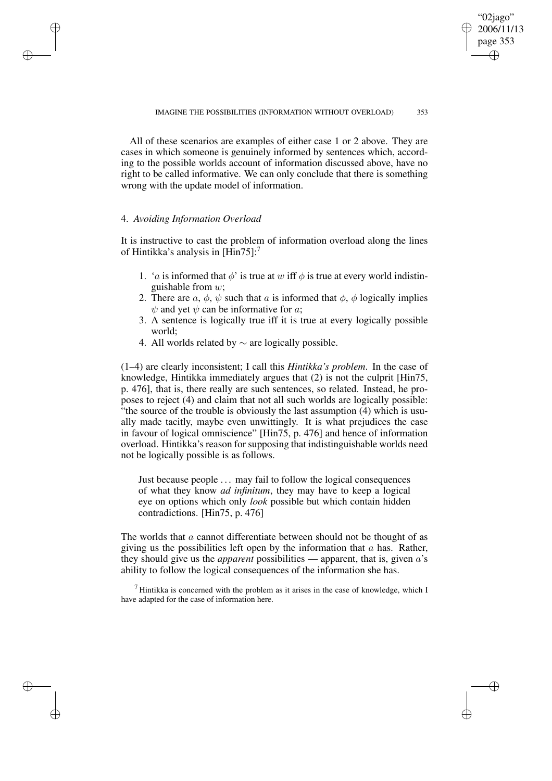"02jago" 2006/11/13 page 353

✐

✐

✐

✐

All of these scenarios are examples of either case 1 or 2 above. They are cases in which someone is genuinely informed by sentences which, according to the possible worlds account of information discussed above, have no right to be called informative. We can only conclude that there is something wrong with the update model of information.

## 4. *Avoiding Information Overload*

✐

✐

✐

✐

It is instructive to cast the problem of information overload along the lines of Hintikka's analysis in  $[Hin75]$ :<sup>7</sup>

- 1. 'a is informed that  $\phi$ ' is true at w iff  $\phi$  is true at every world indistinguishable from  $w$ ;
- 2. There are a,  $\phi$ ,  $\psi$  such that a is informed that  $\phi$ ,  $\phi$  logically implies  $\psi$  and yet  $\psi$  can be informative for a;
- 3. A sentence is logically true iff it is true at every logically possible world;
- 4. All worlds related by ∼ are logically possible.

(1–4) are clearly inconsistent; I call this *Hintikka's problem*. In the case of knowledge, Hintikka immediately argues that (2) is not the culprit [Hin75, p. 476], that is, there really are such sentences, so related. Instead, he proposes to reject (4) and claim that not all such worlds are logically possible: "the source of the trouble is obviously the last assumption (4) which is usually made tacitly, maybe even unwittingly. It is what prejudices the case in favour of logical omniscience" [Hin75, p. 476] and hence of information overload. Hintikka's reason for supposing that indistinguishable worlds need not be logically possible is as follows.

Just because people . . . may fail to follow the logical consequences of what they know *ad infinitum*, they may have to keep a logical eye on options which only *look* possible but which contain hidden contradictions. [Hin75, p. 476]

The worlds that  $a$  cannot differentiate between should not be thought of as giving us the possibilities left open by the information that  $a$  has. Rather, they should give us the *apparent* possibilities — apparent, that is, given a's ability to follow the logical consequences of the information she has.

<sup>7</sup> Hintikka is concerned with the problem as it arises in the case of knowledge, which I have adapted for the case of information here.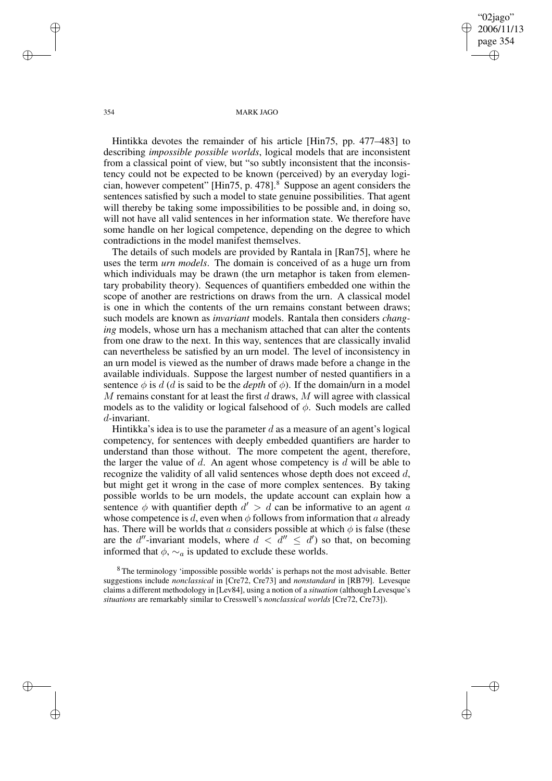"02jago" 2006/11/13 page 354 ✐ ✐

✐

✐

### 354 MARK JAGO

Hintikka devotes the remainder of his article [Hin75, pp. 477–483] to describing *impossible possible worlds*, logical models that are inconsistent from a classical point of view, but "so subtly inconsistent that the inconsistency could not be expected to be known (perceived) by an everyday logician, however competent" [Hin75, p. 478]. $8$  Suppose an agent considers the sentences satisfied by such a model to state genuine possibilities. That agent will thereby be taking some impossibilities to be possible and, in doing so, will not have all valid sentences in her information state. We therefore have some handle on her logical competence, depending on the degree to which contradictions in the model manifest themselves.

The details of such models are provided by Rantala in [Ran75], where he uses the term *urn models*. The domain is conceived of as a huge urn from which individuals may be drawn (the urn metaphor is taken from elementary probability theory). Sequences of quantifiers embedded one within the scope of another are restrictions on draws from the urn. A classical model is one in which the contents of the urn remains constant between draws; such models are known as *invariant* models. Rantala then considers *changing* models, whose urn has a mechanism attached that can alter the contents from one draw to the next. In this way, sentences that are classically invalid can nevertheless be satisfied by an urn model. The level of inconsistency in an urn model is viewed as the number of draws made before a change in the available individuals. Suppose the largest number of nested quantifiers in a sentence  $\phi$  is d (d is said to be the *depth* of  $\phi$ ). If the domain/urn in a model  $M$  remains constant for at least the first  $d$  draws,  $M$  will agree with classical models as to the validity or logical falsehood of  $\phi$ . Such models are called d-invariant.

Hintikka's idea is to use the parameter d as a measure of an agent's logical competency, for sentences with deeply embedded quantifiers are harder to understand than those without. The more competent the agent, therefore, the larger the value of  $d$ . An agent whose competency is  $d$  will be able to recognize the validity of all valid sentences whose depth does not exceed d, but might get it wrong in the case of more complex sentences. By taking possible worlds to be urn models, the update account can explain how a sentence  $\phi$  with quantifier depth  $d' > d$  can be informative to an agent a whose competence is d, even when  $\phi$  follows from information that a already has. There will be worlds that a considers possible at which  $\phi$  is false (these are the d''-invariant models, where  $d < d'' \leq d'$  so that, on becoming informed that  $\phi$ ,  $\sim_a$  is updated to exclude these worlds.

<sup>8</sup> The terminology 'impossible possible worlds' is perhaps not the most advisable. Better suggestions include *nonclassical* in [Cre72, Cre73] and *nonstandard* in [RB79]. Levesque claims a different methodology in [Lev84], using a notion of a *situation* (although Levesque's *situations* are remarkably similar to Cresswell's *nonclassical worlds* [Cre72, Cre73]).

✐

✐

✐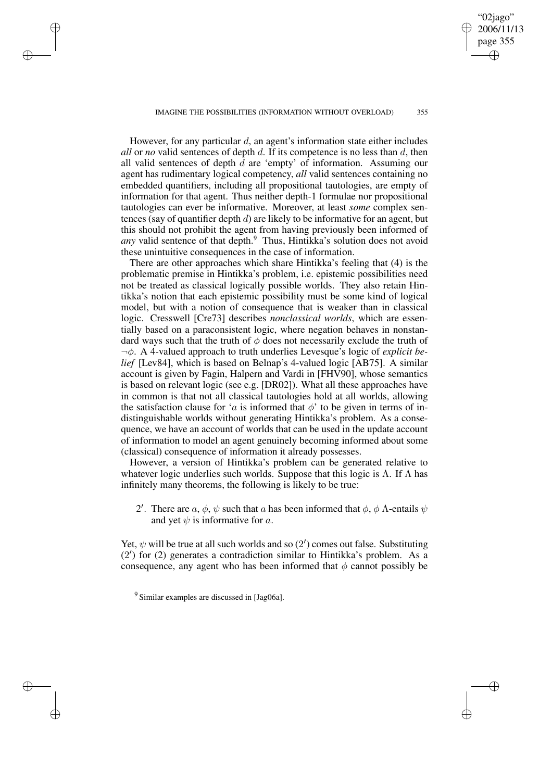#### IMAGINE THE POSSIBILITIES (INFORMATION WITHOUT OVERLOAD) 355

✐

✐

✐

✐

"02jago" 2006/11/13 page 355

✐

✐

✐

✐

However, for any particular  $d$ , an agent's information state either includes *all* or *no* valid sentences of depth d. If its competence is no less than d, then all valid sentences of depth  $d$  are 'empty' of information. Assuming our agent has rudimentary logical competency, *all* valid sentences containing no embedded quantifiers, including all propositional tautologies, are empty of information for that agent. Thus neither depth-1 formulae nor propositional tautologies can ever be informative. Moreover, at least *some* complex sentences (say of quantifier depth  $d$ ) are likely to be informative for an agent, but this should not prohibit the agent from having previously been informed of *any* valid sentence of that depth.<sup>9</sup> Thus, Hintikka's solution does not avoid these unintuitive consequences in the case of information.

There are other approaches which share Hintikka's feeling that (4) is the problematic premise in Hintikka's problem, i.e. epistemic possibilities need not be treated as classical logically possible worlds. They also retain Hintikka's notion that each epistemic possibility must be some kind of logical model, but with a notion of consequence that is weaker than in classical logic. Cresswell [Cre73] describes *nonclassical worlds*, which are essentially based on a paraconsistent logic, where negation behaves in nonstandard ways such that the truth of  $\phi$  does not necessarily exclude the truth of ¬φ. A 4-valued approach to truth underlies Levesque's logic of *explicit belief* [Lev84], which is based on Belnap's 4-valued logic [AB75]. A similar account is given by Fagin, Halpern and Vardi in [FHV90], whose semantics is based on relevant logic (see e.g. [DR02]). What all these approaches have in common is that not all classical tautologies hold at all worlds, allowing the satisfaction clause for 'a is informed that  $\phi$ ' to be given in terms of indistinguishable worlds without generating Hintikka's problem. As a consequence, we have an account of worlds that can be used in the update account of information to model an agent genuinely becoming informed about some (classical) consequence of information it already possesses.

However, a version of Hintikka's problem can be generated relative to whatever logic underlies such worlds. Suppose that this logic is  $\Lambda$ . If  $\Lambda$  has infinitely many theorems, the following is likely to be true:

2'. There are  $a, \phi, \psi$  such that a has been informed that  $\phi, \phi$  A-entails  $\psi$ and yet  $\psi$  is informative for a.

Yet,  $\psi$  will be true at all such worlds and so (2') comes out false. Substituting (2 0 ) for (2) generates a contradiction similar to Hintikka's problem. As a consequence, any agent who has been informed that  $\phi$  cannot possibly be

<sup>9</sup> Similar examples are discussed in [Jag06a].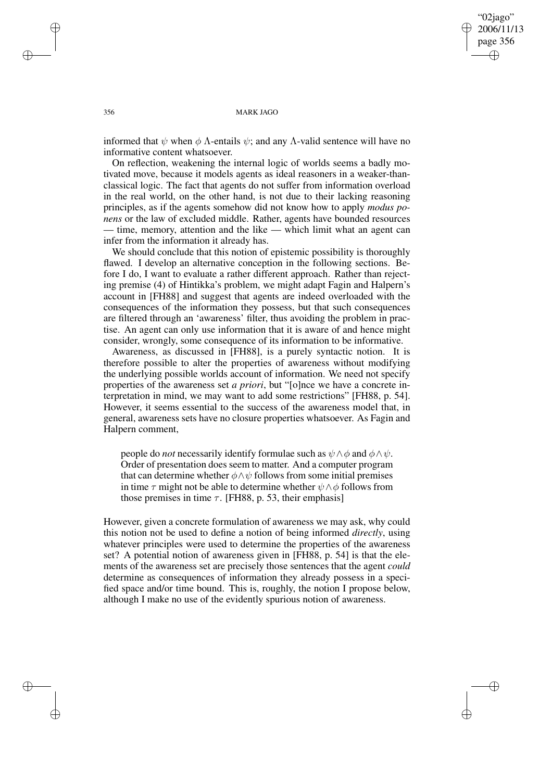"02jago" 2006/11/13 page 356 ✐ ✐

✐

✐

### 356 MARK JAGO

informed that  $\psi$  when  $\phi$  A-entails  $\psi$ ; and any A-valid sentence will have no informative content whatsoever.

On reflection, weakening the internal logic of worlds seems a badly motivated move, because it models agents as ideal reasoners in a weaker-thanclassical logic. The fact that agents do not suffer from information overload in the real world, on the other hand, is not due to their lacking reasoning principles, as if the agents somehow did not know how to apply *modus ponens* or the law of excluded middle. Rather, agents have bounded resources — time, memory, attention and the like — which limit what an agent can infer from the information it already has.

We should conclude that this notion of epistemic possibility is thoroughly flawed. I develop an alternative conception in the following sections. Before I do, I want to evaluate a rather different approach. Rather than rejecting premise (4) of Hintikka's problem, we might adapt Fagin and Halpern's account in [FH88] and suggest that agents are indeed overloaded with the consequences of the information they possess, but that such consequences are filtered through an 'awareness' filter, thus avoiding the problem in practise. An agent can only use information that it is aware of and hence might consider, wrongly, some consequence of its information to be informative.

Awareness, as discussed in [FH88], is a purely syntactic notion. It is therefore possible to alter the properties of awareness without modifying the underlying possible worlds account of information. We need not specify properties of the awareness set *a priori*, but "[o]nce we have a concrete interpretation in mind, we may want to add some restrictions" [FH88, p. 54]. However, it seems essential to the success of the awareness model that, in general, awareness sets have no closure properties whatsoever. As Fagin and Halpern comment,

people do *not* necessarily identify formulae such as  $\psi \wedge \phi$  and  $\phi \wedge \psi$ . Order of presentation does seem to matter. And a computer program that can determine whether  $\phi \land \psi$  follows from some initial premises in time  $\tau$  might not be able to determine whether  $\psi \wedge \phi$  follows from those premises in time  $\tau$ . [FH88, p. 53, their emphasis]

However, given a concrete formulation of awareness we may ask, why could this notion not be used to define a notion of being informed *directly*, using whatever principles were used to determine the properties of the awareness set? A potential notion of awareness given in [FH88, p. 54] is that the elements of the awareness set are precisely those sentences that the agent *could* determine as consequences of information they already possess in a specified space and/or time bound. This is, roughly, the notion I propose below, although I make no use of the evidently spurious notion of awareness.

✐

✐

✐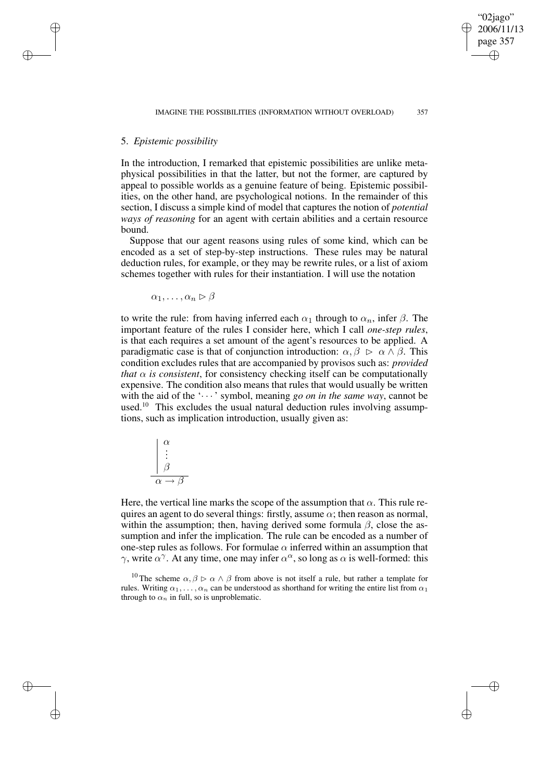# 5. *Epistemic possibility*

✐

✐

✐

✐

In the introduction, I remarked that epistemic possibilities are unlike metaphysical possibilities in that the latter, but not the former, are captured by appeal to possible worlds as a genuine feature of being. Epistemic possibilities, on the other hand, are psychological notions. In the remainder of this section, I discuss a simple kind of model that captures the notion of *potential ways of reasoning* for an agent with certain abilities and a certain resource bound.

Suppose that our agent reasons using rules of some kind, which can be encoded as a set of step-by-step instructions. These rules may be natural deduction rules, for example, or they may be rewrite rules, or a list of axiom schemes together with rules for their instantiation. I will use the notation

 $\alpha_1, \ldots, \alpha_n \triangleright \beta$ 

to write the rule: from having inferred each  $\alpha_1$  through to  $\alpha_n$ , infer  $\beta$ . The important feature of the rules I consider here, which I call *one-step rules*, is that each requires a set amount of the agent's resources to be applied. A paradigmatic case is that of conjunction introduction:  $\alpha, \beta \ge \alpha \wedge \beta$ . This condition excludes rules that are accompanied by provisos such as: *provided that*  $\alpha$  *is consistent*, for consistency checking itself can be computationally expensive. The condition also means that rules that would usually be written with the aid of the  $\langle \cdots \rangle$  symbol, meaning *go on* in the *same* way, cannot be used.<sup>10</sup> This excludes the usual natural deduction rules involving assumptions, such as implication introduction, usually given as:

$$
\begin{array}{c}\n\alpha \\
\vdots \\
\beta \\
\hline\n\alpha \to \beta\n\end{array}
$$

Here, the vertical line marks the scope of the assumption that  $\alpha$ . This rule requires an agent to do several things: firstly, assume  $\alpha$ ; then reason as normal, within the assumption; then, having derived some formula  $\beta$ , close the assumption and infer the implication. The rule can be encoded as a number of one-step rules as follows. For formulae  $\alpha$  inferred within an assumption that  $\gamma$ , write  $\alpha^{\gamma}$ . At any time, one may infer  $\alpha^{\alpha}$ , so long as  $\alpha$  is well-formed: this

<sup>10</sup> The scheme  $\alpha, \beta \triangleright \alpha \wedge \beta$  from above is not itself a rule, but rather a template for rules. Writing  $\alpha_1, \ldots, \alpha_n$  can be understood as shorthand for writing the entire list from  $\alpha_1$ through to  $\alpha_n$  in full, so is unproblematic.

"02jago" 2006/11/13 page 357

✐

✐

✐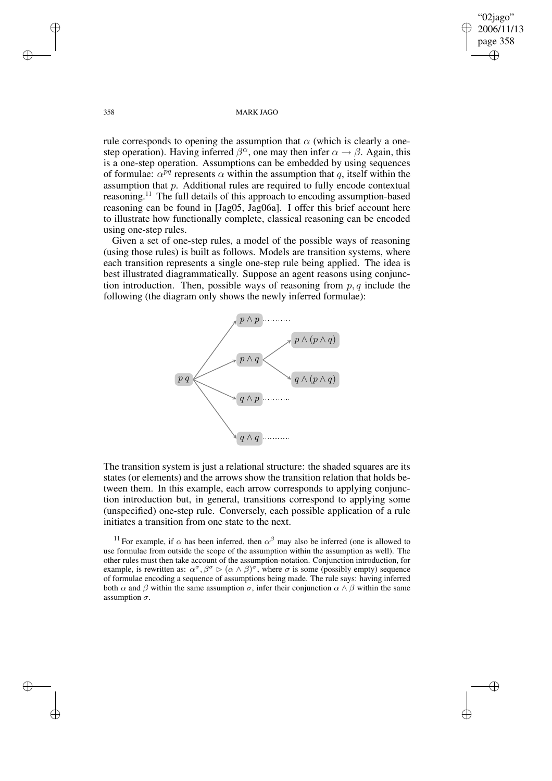"02jago" 2006/11/13 page 358 ✐ ✐

✐

✐

### 358 MARK JAGO

rule corresponds to opening the assumption that  $\alpha$  (which is clearly a onestep operation). Having inferred  $\beta^{\alpha}$ , one may then infer  $\alpha \rightarrow \beta$ . Again, this is a one-step operation. Assumptions can be embedded by using sequences of formulae:  $\alpha^{pq}$  represents  $\alpha$  within the assumption that q, itself within the assumption that p. Additional rules are required to fully encode contextual reasoning.<sup>11</sup> The full details of this approach to encoding assumption-based reasoning can be found in [Jag05, Jag06a]. I offer this brief account here to illustrate how functionally complete, classical reasoning can be encoded using one-step rules.

Given a set of one-step rules, a model of the possible ways of reasoning (using those rules) is built as follows. Models are transition systems, where each transition represents a single one-step rule being applied. The idea is best illustrated diagrammatically. Suppose an agent reasons using conjunction introduction. Then, possible ways of reasoning from  $p, q$  include the following (the diagram only shows the newly inferred formulae):



The transition system is just a relational structure: the shaded squares are its states (or elements) and the arrows show the transition relation that holds between them. In this example, each arrow corresponds to applying conjunction introduction but, in general, transitions correspond to applying some (unspecified) one-step rule. Conversely, each possible application of a rule initiates a transition from one state to the next.

<sup>11</sup> For example, if  $\alpha$  has been inferred, then  $\alpha^{\beta}$  may also be inferred (one is allowed to use formulae from outside the scope of the assumption within the assumption as well). The other rules must then take account of the assumption-notation. Conjunction introduction, for example, is rewritten as:  $\alpha^{\sigma}, \beta^{\sigma} \triangleright (\alpha \wedge \beta)^{\sigma}$ , where  $\sigma$  is some (possibly empty) sequence of formulae encoding a sequence of assumptions being made. The rule says: having inferred both  $\alpha$  and  $\beta$  within the same assumption  $\sigma$ , infer their conjunction  $\alpha \wedge \beta$  within the same assumption  $\sigma$ .

✐

✐

✐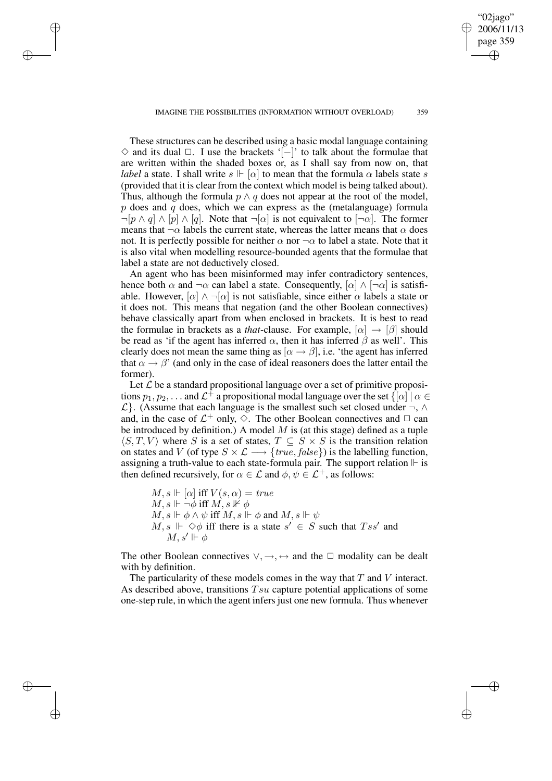IMAGINE THE POSSIBILITIES (INFORMATION WITHOUT OVERLOAD) 359

✐

✐

✐

✐

"02jago" 2006/11/1 page 359

✐

✐

✐

✐

These structures can be described using a basic modal language containing  $\diamond$  and its dual  $\Box$ . I use the brackets '[−]' to talk about the formulae that are written within the shaded boxes or, as I shall say from now on, that *label* a state. I shall write  $s \Vdash [\alpha]$  to mean that the formula  $\alpha$  labels state s (provided that it is clear from the context which model is being talked about). Thus, although the formula  $p \wedge q$  does not appear at the root of the model,  $p$  does and  $q$  does, which we can express as the (metalanguage) formula  $\neg[p \wedge q] \wedge [p] \wedge [q]$ . Note that  $\neg[\alpha]$  is not equivalent to  $[\neg \alpha]$ . The former means that  $\neg \alpha$  labels the current state, whereas the latter means that  $\alpha$  does not. It is perfectly possible for neither  $\alpha$  nor  $\neg \alpha$  to label a state. Note that it is also vital when modelling resource-bounded agents that the formulae that label a state are not deductively closed.

An agent who has been misinformed may infer contradictory sentences, hence both  $\alpha$  and  $\neg \alpha$  can label a state. Consequently,  $[\alpha] \wedge [\neg \alpha]$  is satisfiable. However,  $[\alpha] \wedge \neg[\alpha]$  is not satisfiable, since either  $\alpha$  labels a state or it does not. This means that negation (and the other Boolean connectives) behave classically apart from when enclosed in brackets. It is best to read the formulae in brackets as a *that*-clause. For example,  $[\alpha] \rightarrow [\beta]$  should be read as 'if the agent has inferred  $\alpha$ , then it has inferred  $\beta$  as well'. This clearly does not mean the same thing as  $[\alpha \rightarrow \beta]$ , i.e. 'the agent has inferred that  $\alpha \rightarrow \beta'$  (and only in the case of ideal reasoners does the latter entail the former).

Let  $\mathcal L$  be a standard propositional language over a set of primitive propositions  $p_1, p_2, \ldots$  and  $\mathcal{L}^{\dagger}$  a propositional modal language over the set  $\{[\alpha]\mid \alpha \in$  $\mathcal{L}$ }. (Assume that each language is the smallest such set closed under  $\neg$ , ∧ and, in the case of  $\mathcal{L}^+$  only,  $\Diamond$ . The other Boolean connectives and  $\Box$  can be introduced by definition.) A model  $M$  is (at this stage) defined as a tuple  $\langle S, T, V \rangle$  where S is a set of states,  $T \subseteq S \times S$  is the transition relation on states and V (of type  $S \times \mathcal{L} \longrightarrow \{true, false\}$ ) is the labelling function, assigning a truth-value to each state-formula pair. The support relation  $\mathbb F$  is then defined recursively, for  $\alpha \in \mathcal{L}$  and  $\phi, \psi \in \mathcal{L}^+$ , as follows:

 $M, s \Vdash [\alpha]$  iff  $V(s, \alpha) = true$  $M, s \Vdash \neg \phi$  iff  $M, s \nvDash \phi$  $M, s \Vdash \phi \land \psi$  iff  $M, s \Vdash \phi$  and  $M, s \Vdash \psi$  $M, s \Vdash \Diamond \phi$  iff there is a state  $s' \in S$  such that  $Tss'$  and  $M, s' \Vdash \phi$ 

The other Boolean connectives  $\vee, \rightarrow, \leftrightarrow$  and the  $\Box$  modality can be dealt with by definition.

The particularity of these models comes in the way that  $T$  and  $V$  interact. As described above, transitions  $Tsu$  capture potential applications of some one-step rule, in which the agent infers just one new formula. Thus whenever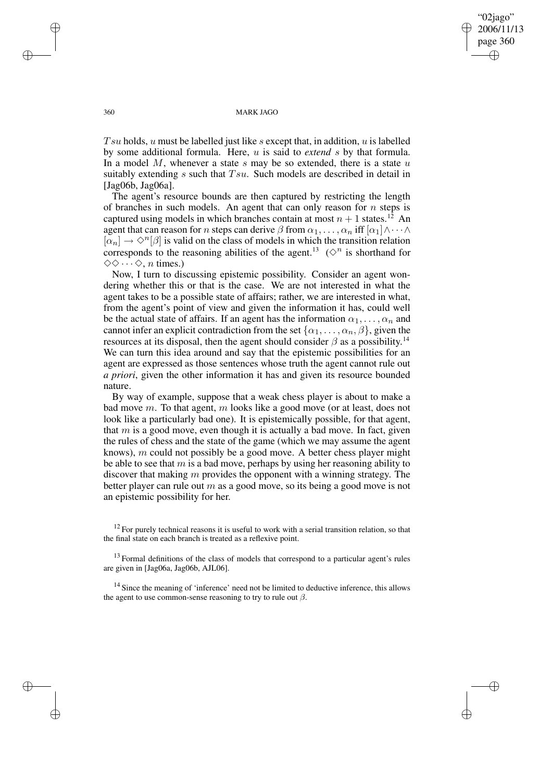"02jago" 2006/11/13 page 360 ✐ ✐

✐

✐

### 360 MARK JAGO

Tsu holds, u must be labelled just like s except that, in addition, u is labelled by some additional formula. Here, u is said to *extend* s by that formula. In a model  $M$ , whenever a state  $s$  may be so extended, there is a state  $u$ suitably extending s such that  $Tsu$ . Such models are described in detail in [Jag06b, Jag06a].

The agent's resource bounds are then captured by restricting the length of branches in such models. An agent that can only reason for  $n$  steps is captured using models in which branches contain at most  $n + 1$  states.<sup>12</sup> An agent that can reason for n steps can derive  $\beta$  from  $\alpha_1, \ldots, \alpha_n$  iff  $[\alpha_1] \wedge \cdots \wedge$  $[\alpha_n] \to \Diamond^n[\beta]$  is valid on the class of models in which the transition relation corresponds to the reasoning abilities of the agent.<sup>13</sup> ( $\diamond^{n}$  is shorthand for  $\diamondsuit \diamond \cdots \diamondsuit$ , *n* times.)

Now, I turn to discussing epistemic possibility. Consider an agent wondering whether this or that is the case. We are not interested in what the agent takes to be a possible state of affairs; rather, we are interested in what, from the agent's point of view and given the information it has, could well be the actual state of affairs. If an agent has the information  $\alpha_1, \ldots, \alpha_n$  and cannot infer an explicit contradiction from the set  $\{\alpha_1, \dots, \alpha_n, \beta\}$ , given the resources at its disposal, then the agent should consider  $\beta$  as a possibility.<sup>14</sup> We can turn this idea around and say that the epistemic possibilities for an agent are expressed as those sentences whose truth the agent cannot rule out *a priori*, given the other information it has and given its resource bounded nature.

By way of example, suppose that a weak chess player is about to make a bad move m. To that agent, m looks like a good move (or at least, does not look like a particularly bad one). It is epistemically possible, for that agent, that  $m$  is a good move, even though it is actually a bad move. In fact, given the rules of chess and the state of the game (which we may assume the agent knows),  $m$  could not possibly be a good move. A better chess player might be able to see that  $m$  is a bad move, perhaps by using her reasoning ability to discover that making  $m$  provides the opponent with a winning strategy. The better player can rule out  $m$  as a good move, so its being a good move is not an epistemic possibility for her.

 $12$  For purely technical reasons it is useful to work with a serial transition relation, so that the final state on each branch is treated as a reflexive point.

 $13$  Formal definitions of the class of models that correspond to a particular agent's rules are given in [Jag06a, Jag06b, AJL06].

<sup>14</sup> Since the meaning of 'inference' need not be limited to deductive inference, this allows the agent to use common-sense reasoning to try to rule out  $\beta$ .

✐

✐

✐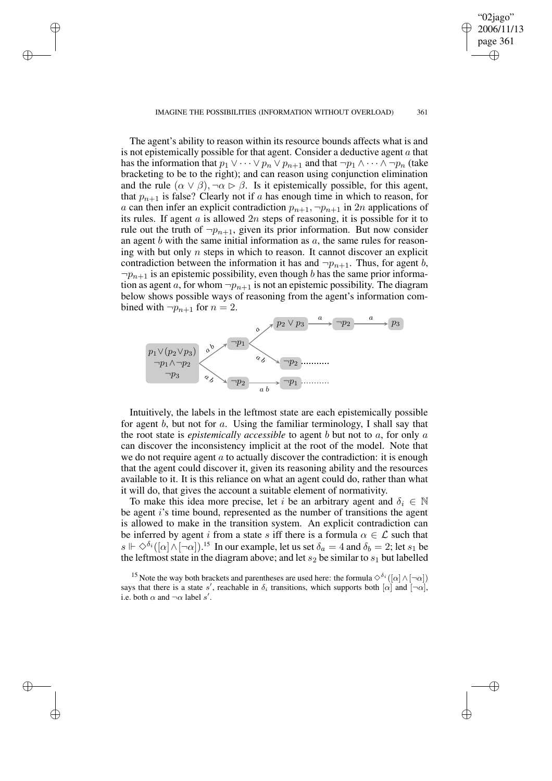### IMAGINE THE POSSIBILITIES (INFORMATION WITHOUT OVERLOAD) 361

✐

✐

✐

✐

"02jago" 2006/11/1 page 361

✐

✐

✐

✐

The agent's ability to reason within its resource bounds affects what is and is not epistemically possible for that agent. Consider a deductive agent  $a$  that has the information that  $p_1 \vee \cdots \vee p_n \vee p_{n+1}$  and that  $\neg p_1 \wedge \cdots \wedge \neg p_n$  (take bracketing to be to the right); and can reason using conjunction elimination and the rule  $(\alpha \vee \beta), \neg \alpha \triangleright \beta$ . Is it epistemically possible, for this agent, that  $p_{n+1}$  is false? Clearly not if a has enough time in which to reason, for a can then infer an explicit contradiction  $p_{n+1}, \neg p_{n+1}$  in 2n applications of its rules. If agent  $a$  is allowed  $2n$  steps of reasoning, it is possible for it to rule out the truth of  $\neg p_{n+1}$ , given its prior information. But now consider an agent  $b$  with the same initial information as  $a$ , the same rules for reasoning with but only  $n$  steps in which to reason. It cannot discover an explicit contradiction between the information it has and  $\neg p_{n+1}$ . Thus, for agent b,  $\neg p_{n+1}$  is an epistemic possibility, even though b has the same prior information as agent a, for whom  $\neg p_{n+1}$  is not an epistemic possibility. The diagram below shows possible ways of reasoning from the agent's information combined with  $\neg p_{n+1}$  for  $n = 2$ .



Intuitively, the labels in the leftmost state are each epistemically possible for agent b, but not for a. Using the familiar terminology, I shall say that the root state is *epistemically accessible* to agent b but not to a, for only a can discover the inconsistency implicit at the root of the model. Note that we do not require agent  $\alpha$  to actually discover the contradiction: it is enough that the agent could discover it, given its reasoning ability and the resources available to it. It is this reliance on what an agent could do, rather than what it will do, that gives the account a suitable element of normativity.

To make this idea more precise, let i be an arbitrary agent and  $\delta_i \in \mathbb{N}$ be agent i's time bound, represented as the number of transitions the agent is allowed to make in the transition system. An explicit contradiction can be inferred by agent i from a state s iff there is a formula  $\alpha \in \mathcal{L}$  such that  $s \Vdash \Diamond^{\delta_i}([\alpha] \land [\neg \alpha])$ .<sup>15</sup> In our example, let us set  $\delta_a = 4$  and  $\delta_b = 2$ ; let  $s_1$  be the leftmost state in the diagram above; and let  $s_2$  be similar to  $s_1$  but labelled

<sup>15</sup> Note the way both brackets and parentheses are used here: the formula  $\Diamond^{\delta_i}([\alpha] \wedge [\neg \alpha])$ says that there is a state s', reachable in  $\delta_i$  transitions, which supports both  $[\alpha]$  and  $[\neg \alpha]$ , i.e. both  $\alpha$  and  $\neg \alpha$  label s'.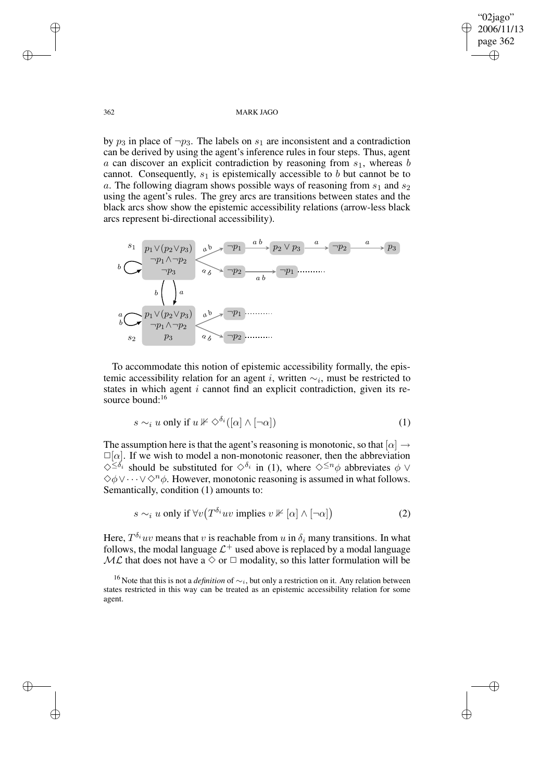✐

✐

### 362 MARK JAGO

by  $p_3$  in place of  $\neg p_3$ . The labels on  $s_1$  are inconsistent and a contradiction can be derived by using the agent's inference rules in four steps. Thus, agent a can discover an explicit contradiction by reasoning from  $s<sub>1</sub>$ , whereas b cannot. Consequently,  $s_1$  is epistemically accessible to b but cannot be to a. The following diagram shows possible ways of reasoning from  $s_1$  and  $s_2$ using the agent's rules. The grey arcs are transitions between states and the black arcs show show the epistemic accessibility relations (arrow-less black arcs represent bi-directional accessibility).



To accommodate this notion of epistemic accessibility formally, the epistemic accessibility relation for an agent *i*, written  $\sim_i$ , must be restricted to states in which agent  $i$  cannot find an explicit contradiction, given its resource bound:<sup>16</sup>

$$
s \sim_i u \text{ only if } u \nVeftrightarrow \Diamond^{\delta_i}([\alpha] \wedge [\neg \alpha]) \tag{1}
$$

The assumption here is that the agent's reasoning is monotonic, so that  $[\alpha] \rightarrow$  $\square[\alpha]$ . If we wish to model a non-monotonic reasoner, then the abbreviation  $\diamondsuit^{\leq \delta_i}$  should be substituted for  $\diamondsuit^{\delta_i}$  in (1), where  $\diamondsuit^{\leq n} \phi$  abbreviates  $\phi \vee$  $\diamondsuit$  $\phi \vee \cdots \vee \diamond^n \phi$ . However, monotonic reasoning is assumed in what follows. Semantically, condition (1) amounts to:

$$
s \sim_i u \text{ only if } \forall v \left( T^{\delta_i} u v \text{ implies } v \nVdash [\alpha] \wedge [\neg \alpha] \right) \tag{2}
$$

Here,  $T^{\delta_i}uv$  means that v is reachable from u in  $\delta_i$  many transitions. In what follows, the modal language  $\mathcal{L}^+$  used above is replaced by a modal language  $ML$  that does not have a  $\Diamond$  or  $\Box$  modality, so this latter formulation will be

✐

✐

✐

<sup>&</sup>lt;sup>16</sup> Note that this is not a *definition* of ∼<sub>*i*</sub>, but only a restriction on it. Any relation between states restricted in this way can be treated as an epistemic accessibility relation for some agent.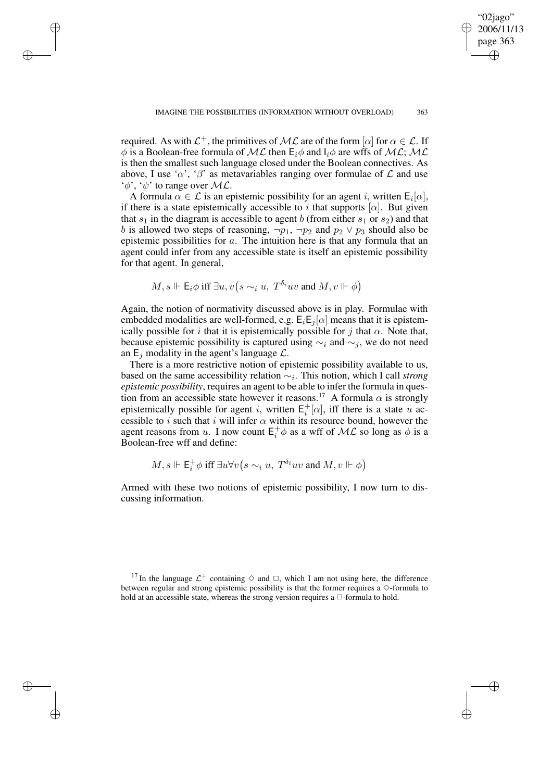"02jago" 2006/11/1 page 363

✐

✐

✐

✐

required. As with  $\mathcal{L}^+$ , the primitives of  $\mathcal{ML}$  are of the form  $[\alpha]$  for  $\alpha \in \mathcal{L}$ . If  $\phi$  is a Boolean-free formula of ML then  $E_i\phi$  and  $I_i\phi$  are wffs of ML; ML is then the smallest such language closed under the Boolean connectives. As above, I use ' $\alpha'$ , ' $\beta'$ ' as metavariables ranging over formulae of  $\mathcal L$  and use  $\phi$ ,  $\psi$  to range over  $ML$ .

✐

✐

✐

✐

A formula  $\alpha \in \mathcal{L}$  is an epistemic possibility for an agent i, written  $E_i[\alpha]$ , if there is a state epistemically accessible to i that supports  $[\alpha]$ . But given that  $s_1$  in the diagram is accessible to agent b (from either  $s_1$  or  $s_2$ ) and that b is allowed two steps of reasoning,  $\neg p_1$ ,  $\neg p_2$  and  $p_2 \lor p_3$  should also be epistemic possibilities for a. The intuition here is that any formula that an agent could infer from any accessible state is itself an epistemic possibility for that agent. In general,

$$
M, s \Vdash \mathsf{E}_i \phi \text{ iff } \exists u, v \big( s \sim_i u, T^{\delta_i} u v \text{ and } M, v \Vdash \phi \big)
$$

Again, the notion of normativity discussed above is in play. Formulae with embedded modalities are well-formed, e.g.  $E_iE_j[\alpha]$  means that it is epistemically possible for i that it is epistemically possible for j that  $\alpha$ . Note that, because epistemic possibility is captured using  $\sim_i$  and  $\sim_j$ , we do not need an  $E_i$  modality in the agent's language  $\mathcal{L}$ .

There is a more restrictive notion of epistemic possibility available to us, based on the same accessibility relation ∼<sup>i</sup> . This notion, which I call *strong epistemic possibility*, requires an agent to be able to infer the formula in question from an accessible state however it reasons.<sup>17</sup> A formula  $\alpha$  is strongly epistemically possible for agent *i*, written  $E_i^+$  $i^+$ [ $\alpha$ ], iff there is a state u accessible to i such that i will infer  $\alpha$  within its resource bound, however the agent reasons from u. I now count  $E_i^+$  $i^+_{i}\phi$  as a wff of  $\mathcal{ML}$  so long as  $\phi$  is a Boolean-free wff and define:

$$
M, s \Vdash \mathsf{E}_i^+ \phi \text{ iff } \exists u \forall v \big(s \sim_i u, T^{\delta_i}uv \text{ and } M, v \Vdash \phi\big)
$$

Armed with these two notions of epistemic possibility, I now turn to discussing information.

<sup>17</sup> In the language  $\mathcal{L}^+$  containing  $\diamond$  and  $\square$ , which I am not using here, the difference between regular and strong epistemic possibility is that the former requires a  $\diamond$ -formula to hold at an accessible state, whereas the strong version requires a  $\Box$ -formula to hold.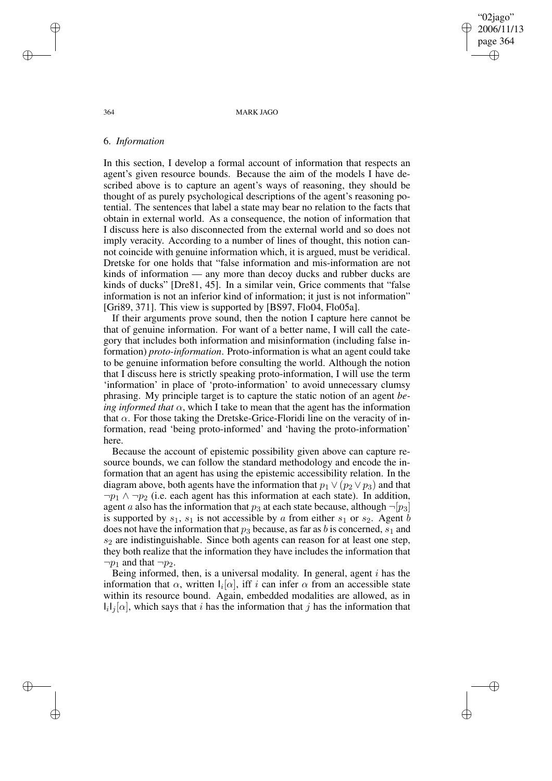"02jago" 2006/11/1 page 364 ✐ ✐

✐

✐

### 364 MARK JAGO

### 6. *Information*

In this section, I develop a formal account of information that respects an agent's given resource bounds. Because the aim of the models I have described above is to capture an agent's ways of reasoning, they should be thought of as purely psychological descriptions of the agent's reasoning potential. The sentences that label a state may bear no relation to the facts that obtain in external world. As a consequence, the notion of information that I discuss here is also disconnected from the external world and so does not imply veracity. According to a number of lines of thought, this notion cannot coincide with genuine information which, it is argued, must be veridical. Dretske for one holds that "false information and mis-information are not kinds of information — any more than decoy ducks and rubber ducks are kinds of ducks" [Dre81, 45]. In a similar vein, Grice comments that "false information is not an inferior kind of information; it just is not information" [Gri89, 371]. This view is supported by [BS97, Flo04, Flo05a].

If their arguments prove sound, then the notion I capture here cannot be that of genuine information. For want of a better name, I will call the category that includes both information and misinformation (including false information) *proto-information*. Proto-information is what an agent could take to be genuine information before consulting the world. Although the notion that I discuss here is strictly speaking proto-information, I will use the term 'information' in place of 'proto-information' to avoid unnecessary clumsy phrasing. My principle target is to capture the static notion of an agent *being informed that*  $\alpha$ , which I take to mean that the agent has the information that  $\alpha$ . For those taking the Dretske-Grice-Floridi line on the veracity of information, read 'being proto-informed' and 'having the proto-information' here.

Because the account of epistemic possibility given above can capture resource bounds, we can follow the standard methodology and encode the information that an agent has using the epistemic accessibility relation. In the diagram above, both agents have the information that  $p_1 \vee (p_2 \vee p_3)$  and that  $\neg p_1 \wedge \neg p_2$  (i.e. each agent has this information at each state). In addition, agent a also has the information that  $p_3$  at each state because, although  $\neg[p_3]$ is supported by  $s_1$ ,  $s_1$  is not accessible by a from either  $s_1$  or  $s_2$ . Agent b does not have the information that  $p_3$  because, as far as b is concerned,  $s_1$  and  $s<sub>2</sub>$  are indistinguishable. Since both agents can reason for at least one step, they both realize that the information they have includes the information that  $\neg p_1$  and that  $\neg p_2$ .

Being informed, then, is a universal modality. In general, agent  $i$  has the information that  $\alpha$ , written  $I_i[\alpha]$ , iff i can infer  $\alpha$  from an accessible state within its resource bound. Again, embedded modalities are allowed, as in  $I_i I_j[\alpha]$ , which says that i has the information that j has the information that

✐

✐

✐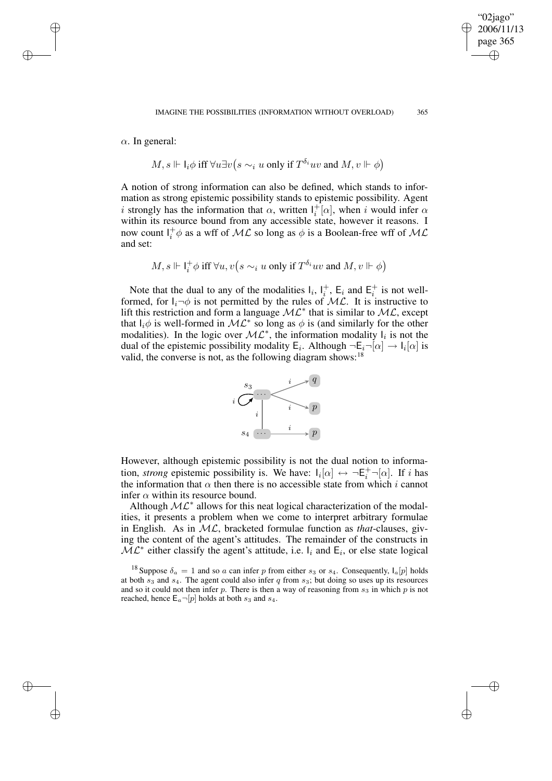"02jago" 2006/11/13 page 365

✐

✐

✐

✐

 $\alpha$ . In general:

✐

✐

✐

✐

$$
M, s \Vdash \mathsf{l}_i \phi \text{ iff } \forall u \exists v \big(s \sim_i u \text{ only if } T^{\delta_i}uv \text{ and } M, v \Vdash \phi\big)
$$

A notion of strong information can also be defined, which stands to information as strong epistemic possibility stands to epistemic possibility. Agent i strongly has the information that  $\alpha$ , written  $I_i^+$  $i^+$ [ $\alpha$ ], when i would infer  $\alpha$ within its resource bound from any accessible state, however it reasons. I now count  $I_i^+$  $i^+_{i}\phi$  as a wff of  $\mathcal{ML}$  so long as  $\phi$  is a Boolean-free wff of  $\mathcal{ML}$ and set:

$$
M, s \Vdash \text{I}^+_i \phi \text{ iff } \forall u, v \big(s \sim_i u \text{ only if } T^{\delta_i}uv \text{ and } M, v \Vdash \phi \big)
$$

Note that the dual to any of the modalities  $I_i$ ,  $I_i^+$  $i^+$ , E<sub>i</sub> and E<sub>i</sub><sup>+</sup>  $i<sub>i</sub>$  is not wellformed, for  $I_i \rightarrow \phi$  is not permitted by the rules of  $ML$ . It is instructive to lift this restriction and form a language  $ML^*$  that is similar to  $ML$ , except that  $I_i \phi$  is well-formed in  $ML^*$  so long as  $\phi$  is (and similarly for the other modalities). In the logic over  $ML^*$ , the information modality  $I_i$  is not the dual of the epistemic possibility modality  $E_i$ . Although  $\neg E_i \neg [\alpha] \rightarrow I_i[\alpha]$  is valid, the converse is not, as the following diagram shows:  $18$ 



However, although epistemic possibility is not the dual notion to information, *strong* epistemic possibility is. We have:  $I_i[\alpha] \leftrightarrow \neg E_i^+ \neg [\alpha]$ . If i has the information that  $\alpha$  then there is no accessible state from which i cannot infer  $\alpha$  within its resource bound.

Although  $ML^*$  allows for this neat logical characterization of the modalities, it presents a problem when we come to interpret arbitrary formulae in English. As in ML, bracketed formulae function as *that*-clauses, giving the content of the agent's attitudes. The remainder of the constructs in  $\widetilde{\mathcal{ML}}^*$  either classify the agent's attitude, i.e.  $I_i$  and  $E_i$ , or else state logical

<sup>18</sup> Suppose  $\delta_a = 1$  and so a can infer p from either  $s_3$  or  $s_4$ . Consequently,  $I_a[p]$  holds at both  $s_3$  and  $s_4$ . The agent could also infer q from  $s_3$ ; but doing so uses up its resources and so it could not then infer  $p$ . There is then a way of reasoning from  $s_3$  in which  $p$  is not reached, hence  $E_a \neg [p]$  holds at both  $s_3$  and  $s_4$ .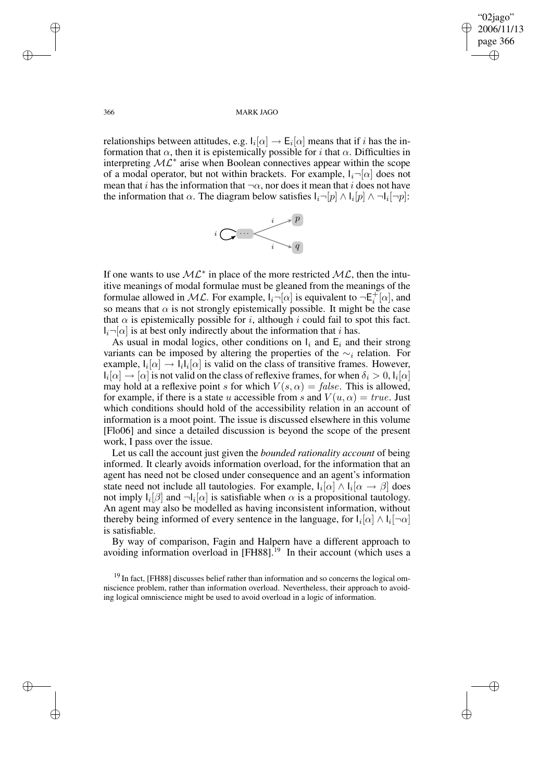✐

✐

### 366 MARK JAGO

relationships between attitudes, e.g.  $I_i[\alpha] \to E_i[\alpha]$  means that if i has the information that  $\alpha$ , then it is epistemically possible for i that  $\alpha$ . Difficulties in interpreting  $ML^*$  arise when Boolean connectives appear within the scope of a modal operator, but not within brackets. For example,  $I_i\neg[\alpha]$  does not mean that i has the information that  $\neg \alpha$ , nor does it mean that i does not have the information that  $\alpha$ . The diagram below satisfies  $I_i\neg[p] \wedge I_i[p] \wedge \neg I_i[\neg p]$ :



If one wants to use  $ML^*$  in place of the more restricted  $ML$ , then the intuitive meanings of modal formulae must be gleaned from the meanings of the formulae allowed in ML. For example,  $I_i\neg[\alpha]$  is equivalent to  $\neg \mathsf{E}_i^+$  $i^+[\alpha]$ , and so means that  $\alpha$  is not strongly epistemically possible. It might be the case that  $\alpha$  is epistemically possible for i, although i could fail to spot this fact.  $I_i\neg[\alpha]$  is at best only indirectly about the information that i has.

As usual in modal logics, other conditions on  $I_i$  and  $E_i$  and their strong variants can be imposed by altering the properties of the  $\sim_i$  relation. For example,  $I_i[\alpha] \rightarrow I_i I_i[\alpha]$  is valid on the class of transitive frames. However,  $I_i[\alpha] \to [\alpha]$  is not valid on the class of reflexive frames, for when  $\delta_i > 0$ ,  $I_i[\alpha]$ may hold at a reflexive point s for which  $V(s, \alpha) = false$ . This is allowed, for example, if there is a state u accessible from s and  $V(u, \alpha) = true$ . Just which conditions should hold of the accessibility relation in an account of information is a moot point. The issue is discussed elsewhere in this volume [Flo06] and since a detailed discussion is beyond the scope of the present work, I pass over the issue.

Let us call the account just given the *bounded rationality account* of being informed. It clearly avoids information overload, for the information that an agent has need not be closed under consequence and an agent's information state need not include all tautologies. For example,  $I_i[\alpha] \wedge I_i[\alpha \rightarrow \beta]$  does not imply  $I_i[\beta]$  and  $\neg I_i[\alpha]$  is satisfiable when  $\alpha$  is a propositional tautology. An agent may also be modelled as having inconsistent information, without thereby being informed of every sentence in the language, for  $I_i[\alpha] \wedge I_i[\neg \alpha]$ is satisfiable.

By way of comparison, Fagin and Halpern have a different approach to avoiding information overload in [FH88].<sup>19</sup> In their account (which uses a

<sup>19</sup> In fact, [FH88] discusses belief rather than information and so concerns the logical omniscience problem, rather than information overload. Nevertheless, their approach to avoiding logical omniscience might be used to avoid overload in a logic of information.

✐

✐

✐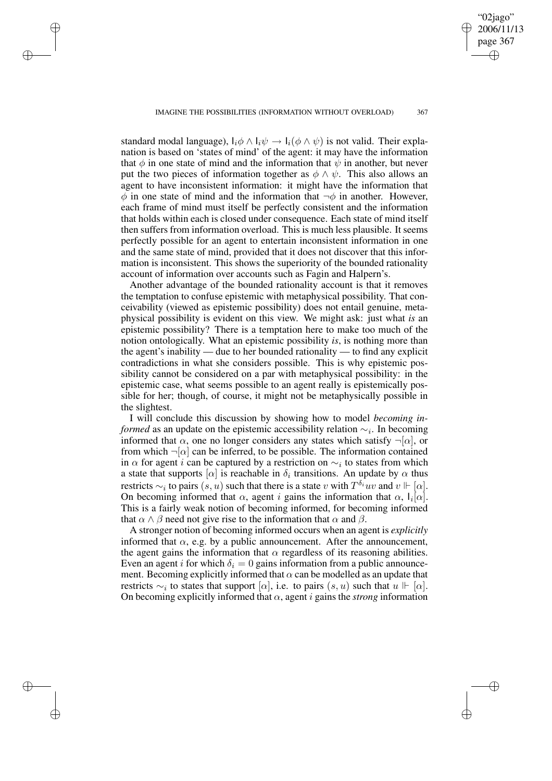✐

✐

✐

✐

"02jago" 2006/11/1 page 367

✐

✐

✐

✐

standard modal language),  $I_i \phi \wedge I_i \psi \rightarrow I_i (\phi \wedge \psi)$  is not valid. Their explanation is based on 'states of mind' of the agent: it may have the information that  $\phi$  in one state of mind and the information that  $\psi$  in another, but never put the two pieces of information together as  $\phi \wedge \psi$ . This also allows an agent to have inconsistent information: it might have the information that  $\phi$  in one state of mind and the information that  $\neg \phi$  in another. However, each frame of mind must itself be perfectly consistent and the information that holds within each is closed under consequence. Each state of mind itself then suffers from information overload. This is much less plausible. It seems perfectly possible for an agent to entertain inconsistent information in one and the same state of mind, provided that it does not discover that this information is inconsistent. This shows the superiority of the bounded rationality account of information over accounts such as Fagin and Halpern's.

Another advantage of the bounded rationality account is that it removes the temptation to confuse epistemic with metaphysical possibility. That conceivability (viewed as epistemic possibility) does not entail genuine, metaphysical possibility is evident on this view. We might ask: just what *is* an epistemic possibility? There is a temptation here to make too much of the notion ontologically. What an epistemic possibility *is*, is nothing more than the agent's inability — due to her bounded rationality — to find any explicit contradictions in what she considers possible. This is why epistemic possibility cannot be considered on a par with metaphysical possibility: in the epistemic case, what seems possible to an agent really is epistemically possible for her; though, of course, it might not be metaphysically possible in the slightest.

I will conclude this discussion by showing how to model *becoming informed* as an update on the epistemic accessibility relation  $\sim$ <sub>i</sub>. In becoming informed that  $\alpha$ , one no longer considers any states which satisfy  $\neg[\alpha]$ , or from which  $\neg[\alpha]$  can be inferred, to be possible. The information contained in  $\alpha$  for agent *i* can be captured by a restriction on  $\sim_i$  to states from which a state that supports  $[\alpha]$  is reachable in  $\delta_i$  transitions. An update by  $\alpha$  thus restricts  $\sim_i$  to pairs  $(s, u)$  such that there is a state v with  $T^{\delta_i}uv$  and  $v \Vdash [\alpha]$ . On becoming informed that  $\alpha$ , agent i gains the information that  $\alpha$ ,  $I_i[\alpha]$ . This is a fairly weak notion of becoming informed, for becoming informed that  $\alpha \wedge \beta$  need not give rise to the information that  $\alpha$  and  $\beta$ .

A stronger notion of becoming informed occurs when an agent is *explicitly* informed that  $\alpha$ , e.g. by a public announcement. After the announcement, the agent gains the information that  $\alpha$  regardless of its reasoning abilities. Even an agent i for which  $\delta_i = 0$  gains information from a public announcement. Becoming explicitly informed that  $\alpha$  can be modelled as an update that restricts  $\sim_i$  to states that support [ $\alpha$ ], i.e. to pairs  $(s, u)$  such that  $u \Vdash [\alpha]$ . On becoming explicitly informed that  $\alpha$ , agent *i* gains the *strong* information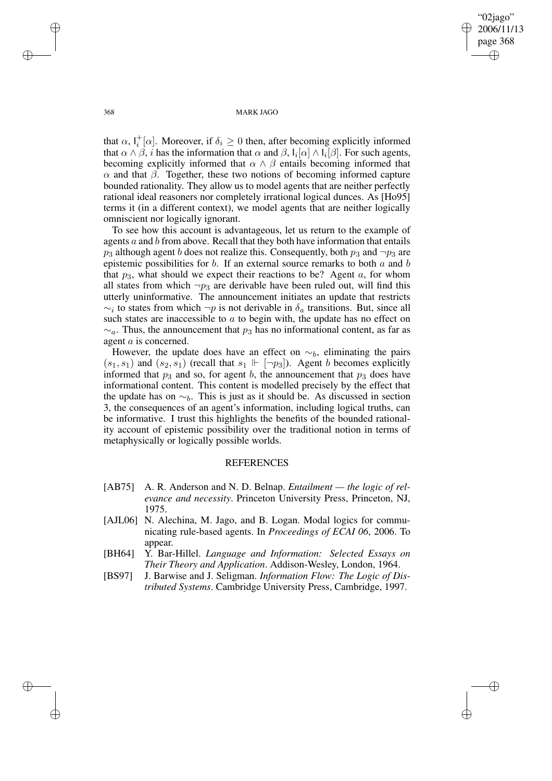"02jago" 2006/11/13 page 368 ✐ ✐

✐

✐

### 368 MARK JAGO

that  $\alpha$ ,  $I_i^+$  $i^+_{i}[\alpha]$ . Moreover, if  $\delta_i \geq 0$  then, after becoming explicitly informed that  $\alpha \wedge \beta$ , i has the information that  $\alpha$  and  $\beta$ ,  $I_i[\alpha] \wedge I_i[\beta]$ . For such agents, becoming explicitly informed that  $\alpha \wedge \beta$  entails becoming informed that  $\alpha$  and that  $\beta$ . Together, these two notions of becoming informed capture bounded rationality. They allow us to model agents that are neither perfectly rational ideal reasoners nor completely irrational logical dunces. As [Ho95] terms it (in a different context), we model agents that are neither logically omniscient nor logically ignorant.

To see how this account is advantageous, let us return to the example of agents a and b from above. Recall that they both have information that entails  $p_3$  although agent b does not realize this. Consequently, both  $p_3$  and  $\neg p_3$  are epistemic possibilities for  $b$ . If an external source remarks to both  $a$  and  $b$ that  $p_3$ , what should we expect their reactions to be? Agent  $a$ , for whom all states from which  $\neg p_3$  are derivable have been ruled out, will find this utterly uninformative. The announcement initiates an update that restricts  $\sim_i$  to states from which  $\neg p$  is not derivable in  $\delta_a$  transitions. But, since all such states are inaccessible to  $a$  to begin with, the update has no effect on  $\sim_a$ . Thus, the announcement that  $p_3$  has no informational content, as far as agent a is concerned.

However, the update does have an effect on  $\sim_b$ , eliminating the pairs  $(s_1, s_1)$  and  $(s_2, s_1)$  (recall that  $s_1 \Vdash [\neg p_3]$ ). Agent b becomes explicitly informed that  $p_3$  and so, for agent b, the announcement that  $p_3$  does have informational content. This content is modelled precisely by the effect that the update has on  $\sim_b$ . This is just as it should be. As discussed in section 3, the consequences of an agent's information, including logical truths, can be informative. I trust this highlights the benefits of the bounded rationality account of epistemic possibility over the traditional notion in terms of metaphysically or logically possible worlds.

## **REFERENCES**

- [AB75] A. R. Anderson and N. D. Belnap. *Entailment — the logic of relevance and necessity*. Princeton University Press, Princeton, NJ, 1975.
- [AJL06] N. Alechina, M. Jago, and B. Logan. Modal logics for communicating rule-based agents. In *Proceedings of ECAI 06*, 2006. To appear.
- [BH64] Y. Bar-Hillel. *Language and Information: Selected Essays on Their Theory and Application*. Addison-Wesley, London, 1964.
- [BS97] J. Barwise and J. Seligman. *Information Flow: The Logic of Distributed Systems*. Cambridge University Press, Cambridge, 1997.

✐

✐

✐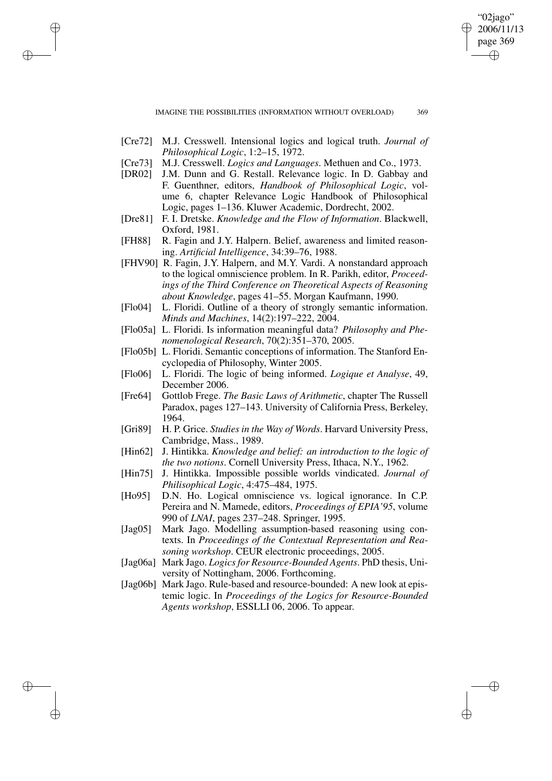IMAGINE THE POSSIBILITIES (INFORMATION WITHOUT OVERLOAD) 369

"02jago" 2006/11/13 page 369

✐

✐

✐

✐

[Cre72] M.J. Cresswell. Intensional logics and logical truth. *Journal of Philosophical Logic*, 1:2–15, 1972.

✐

✐

✐

- [Cre73] M.J. Cresswell. *Logics and Languages*. Methuen and Co., 1973.
- [DR02] J.M. Dunn and G. Restall. Relevance logic. In D. Gabbay and F. Guenthner, editors, *Handbook of Philosophical Logic*, volume 6, chapter Relevance Logic Handbook of Philosophical Logic, pages 1–136. Kluwer Academic, Dordrecht, 2002.
- [Dre81] F. I. Dretske. *Knowledge and the Flow of Information*. Blackwell, Oxford, 1981.
- [FH88] R. Fagin and J.Y. Halpern. Belief, awareness and limited reasoning. *Artificial Intelligence*, 34:39–76, 1988.
- [FHV90] R. Fagin, J.Y. Halpern, and M.Y. Vardi. A nonstandard approach to the logical omniscience problem. In R. Parikh, editor, *Proceedings of the Third Conference on Theoretical Aspects of Reasoning about Knowledge*, pages 41–55. Morgan Kaufmann, 1990.
- [Flo04] L. Floridi. Outline of a theory of strongly semantic information. *Minds and Machines*, 14(2):197–222, 2004.
- [Flo05a] L. Floridi. Is information meaningful data? *Philosophy and Phenomenological Research*, 70(2):351–370, 2005.
- [Flo05b] L. Floridi. Semantic conceptions of information. The Stanford Encyclopedia of Philosophy, Winter 2005.
- [Flo06] L. Floridi. The logic of being informed. *Logique et Analyse*, 49, December 2006.
- [Fre64] Gottlob Frege. *The Basic Laws of Arithmetic*, chapter The Russell Paradox, pages 127–143. University of California Press, Berkeley, 1964.
- [Gri89] H. P. Grice. *Studies in the Way of Words*. Harvard University Press, Cambridge, Mass., 1989.
- [Hin62] J. Hintikka. *Knowledge and belief: an introduction to the logic of the two notions*. Cornell University Press, Ithaca, N.Y., 1962.
- [Hin75] J. Hintikka. Impossible possible worlds vindicated. *Journal of Philisophical Logic*, 4:475–484, 1975.
- [Ho95] D.N. Ho. Logical omniscience vs. logical ignorance. In C.P. Pereira and N. Mamede, editors, *Proceedings of EPIA'95*, volume 990 of *LNAI*, pages 237–248. Springer, 1995.
- [Jag05] Mark Jago. Modelling assumption-based reasoning using contexts. In *Proceedings of the Contextual Representation and Reasoning workshop*. CEUR electronic proceedings, 2005.
- [Jag06a] Mark Jago. *Logicsfor Resource-Bounded Agents*. PhD thesis, University of Nottingham, 2006. Forthcoming.
- [Jag06b] Mark Jago. Rule-based and resource-bounded: A new look at epistemic logic. In *Proceedings of the Logics for Resource-Bounded Agents workshop*, ESSLLI 06, 2006. To appear.